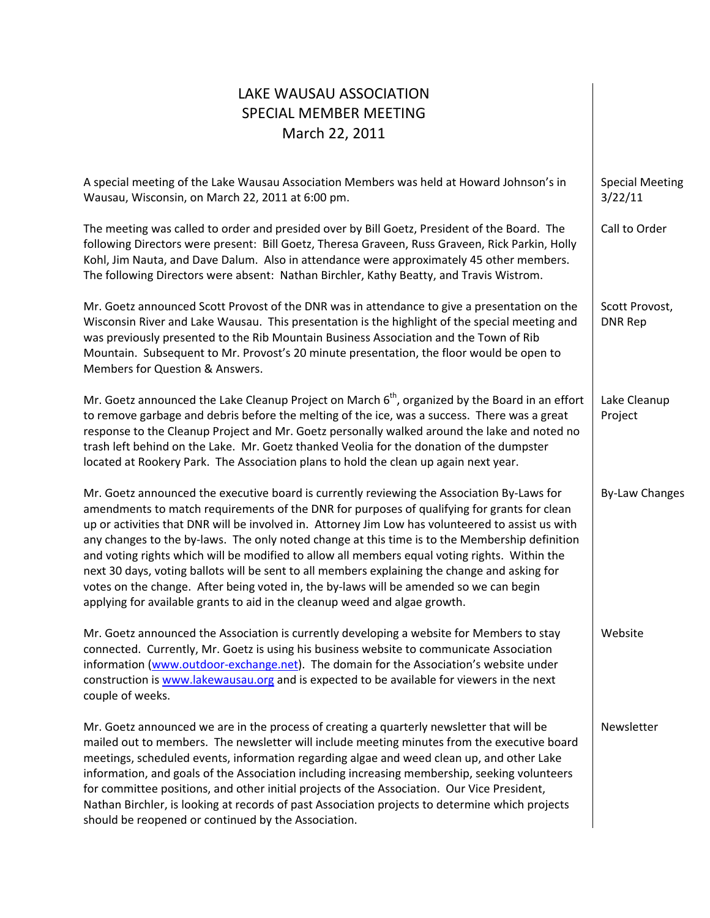| LAKE WAUSAU ASSOCIATION<br><b>SPECIAL MEMBER MEETING</b><br>March 22, 2011                                                                                                                                                                                                                                                                                                                                                                                                                                                                                                                                                                                                                                                                                                 |                                   |
|----------------------------------------------------------------------------------------------------------------------------------------------------------------------------------------------------------------------------------------------------------------------------------------------------------------------------------------------------------------------------------------------------------------------------------------------------------------------------------------------------------------------------------------------------------------------------------------------------------------------------------------------------------------------------------------------------------------------------------------------------------------------------|-----------------------------------|
| A special meeting of the Lake Wausau Association Members was held at Howard Johnson's in<br>Wausau, Wisconsin, on March 22, 2011 at 6:00 pm.                                                                                                                                                                                                                                                                                                                                                                                                                                                                                                                                                                                                                               | <b>Special Meeting</b><br>3/22/11 |
| The meeting was called to order and presided over by Bill Goetz, President of the Board. The<br>following Directors were present: Bill Goetz, Theresa Graveen, Russ Graveen, Rick Parkin, Holly<br>Kohl, Jim Nauta, and Dave Dalum. Also in attendance were approximately 45 other members.<br>The following Directors were absent: Nathan Birchler, Kathy Beatty, and Travis Wistrom.                                                                                                                                                                                                                                                                                                                                                                                     | Call to Order                     |
| Mr. Goetz announced Scott Provost of the DNR was in attendance to give a presentation on the<br>Wisconsin River and Lake Wausau. This presentation is the highlight of the special meeting and<br>was previously presented to the Rib Mountain Business Association and the Town of Rib<br>Mountain. Subsequent to Mr. Provost's 20 minute presentation, the floor would be open to<br>Members for Question & Answers.                                                                                                                                                                                                                                                                                                                                                     | Scott Provost,<br><b>DNR Rep</b>  |
| Mr. Goetz announced the Lake Cleanup Project on March $6th$ , organized by the Board in an effort<br>to remove garbage and debris before the melting of the ice, was a success. There was a great<br>response to the Cleanup Project and Mr. Goetz personally walked around the lake and noted no<br>trash left behind on the Lake. Mr. Goetz thanked Veolia for the donation of the dumpster<br>located at Rookery Park. The Association plans to hold the clean up again next year.                                                                                                                                                                                                                                                                                      | Lake Cleanup<br>Project           |
| Mr. Goetz announced the executive board is currently reviewing the Association By-Laws for<br>amendments to match requirements of the DNR for purposes of qualifying for grants for clean<br>up or activities that DNR will be involved in. Attorney Jim Low has volunteered to assist us with<br>any changes to the by-laws. The only noted change at this time is to the Membership definition<br>and voting rights which will be modified to allow all members equal voting rights. Within the<br>next 30 days, voting ballots will be sent to all members explaining the change and asking for<br>votes on the change. After being voted in, the by-laws will be amended so we can begin<br>applying for available grants to aid in the cleanup weed and algae growth. | <b>By-Law Changes</b>             |
| Mr. Goetz announced the Association is currently developing a website for Members to stay<br>connected. Currently, Mr. Goetz is using his business website to communicate Association<br>information (www.outdoor-exchange.net). The domain for the Association's website under<br>construction is www.lakewausau.org and is expected to be available for viewers in the next<br>couple of weeks.                                                                                                                                                                                                                                                                                                                                                                          | Website                           |
| Mr. Goetz announced we are in the process of creating a quarterly newsletter that will be<br>mailed out to members. The newsletter will include meeting minutes from the executive board<br>meetings, scheduled events, information regarding algae and weed clean up, and other Lake<br>information, and goals of the Association including increasing membership, seeking volunteers<br>for committee positions, and other initial projects of the Association. Our Vice President,<br>Nathan Birchler, is looking at records of past Association projects to determine which projects<br>should be reopened or continued by the Association.                                                                                                                            | Newsletter                        |